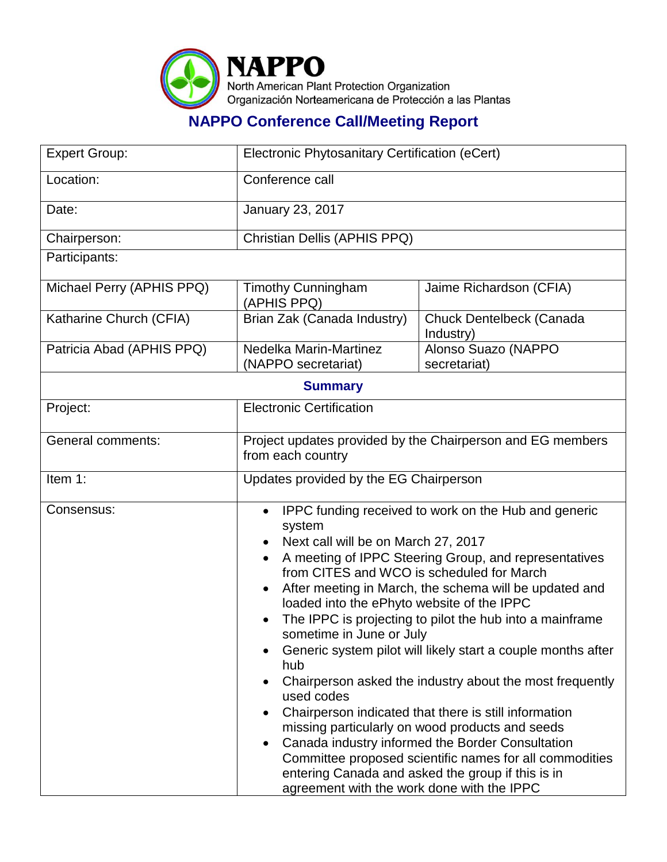

## **NAPPO Conference Call/Meeting Report**

| <b>Expert Group:</b>      | Electronic Phytosanitary Certification (eCert)                                                                                                                                                                                                                                                                                                                                                                                                                                                                                                                                                                                                                                                                                                                                                                                                                                                          |                                       |
|---------------------------|---------------------------------------------------------------------------------------------------------------------------------------------------------------------------------------------------------------------------------------------------------------------------------------------------------------------------------------------------------------------------------------------------------------------------------------------------------------------------------------------------------------------------------------------------------------------------------------------------------------------------------------------------------------------------------------------------------------------------------------------------------------------------------------------------------------------------------------------------------------------------------------------------------|---------------------------------------|
| Location:                 | Conference call                                                                                                                                                                                                                                                                                                                                                                                                                                                                                                                                                                                                                                                                                                                                                                                                                                                                                         |                                       |
| Date:                     | January 23, 2017                                                                                                                                                                                                                                                                                                                                                                                                                                                                                                                                                                                                                                                                                                                                                                                                                                                                                        |                                       |
| Chairperson:              | Christian Dellis (APHIS PPQ)                                                                                                                                                                                                                                                                                                                                                                                                                                                                                                                                                                                                                                                                                                                                                                                                                                                                            |                                       |
| Participants:             |                                                                                                                                                                                                                                                                                                                                                                                                                                                                                                                                                                                                                                                                                                                                                                                                                                                                                                         |                                       |
| Michael Perry (APHIS PPQ) | <b>Timothy Cunningham</b><br>(APHIS PPQ)                                                                                                                                                                                                                                                                                                                                                                                                                                                                                                                                                                                                                                                                                                                                                                                                                                                                | Jaime Richardson (CFIA)               |
| Katharine Church (CFIA)   | Brian Zak (Canada Industry)                                                                                                                                                                                                                                                                                                                                                                                                                                                                                                                                                                                                                                                                                                                                                                                                                                                                             | Chuck Dentelbeck (Canada<br>Industry) |
| Patricia Abad (APHIS PPQ) | Nedelka Marin-Martinez<br>(NAPPO secretariat)                                                                                                                                                                                                                                                                                                                                                                                                                                                                                                                                                                                                                                                                                                                                                                                                                                                           | Alonso Suazo (NAPPO<br>secretariat)   |
| <b>Summary</b>            |                                                                                                                                                                                                                                                                                                                                                                                                                                                                                                                                                                                                                                                                                                                                                                                                                                                                                                         |                                       |
| Project:                  | <b>Electronic Certification</b>                                                                                                                                                                                                                                                                                                                                                                                                                                                                                                                                                                                                                                                                                                                                                                                                                                                                         |                                       |
| <b>General comments:</b>  | Project updates provided by the Chairperson and EG members<br>from each country                                                                                                                                                                                                                                                                                                                                                                                                                                                                                                                                                                                                                                                                                                                                                                                                                         |                                       |
| Item 1:                   | Updates provided by the EG Chairperson                                                                                                                                                                                                                                                                                                                                                                                                                                                                                                                                                                                                                                                                                                                                                                                                                                                                  |                                       |
| Consensus:                | IPPC funding received to work on the Hub and generic<br>$\bullet$<br>system<br>Next call will be on March 27, 2017<br>A meeting of IPPC Steering Group, and representatives<br>from CITES and WCO is scheduled for March<br>After meeting in March, the schema will be updated and<br>loaded into the ePhyto website of the IPPC<br>The IPPC is projecting to pilot the hub into a mainframe<br>sometime in June or July<br>Generic system pilot will likely start a couple months after<br>hub<br>Chairperson asked the industry about the most frequently<br>used codes<br>Chairperson indicated that there is still information<br>missing particularly on wood products and seeds<br>Canada industry informed the Border Consultation<br>Committee proposed scientific names for all commodities<br>entering Canada and asked the group if this is in<br>agreement with the work done with the IPPC |                                       |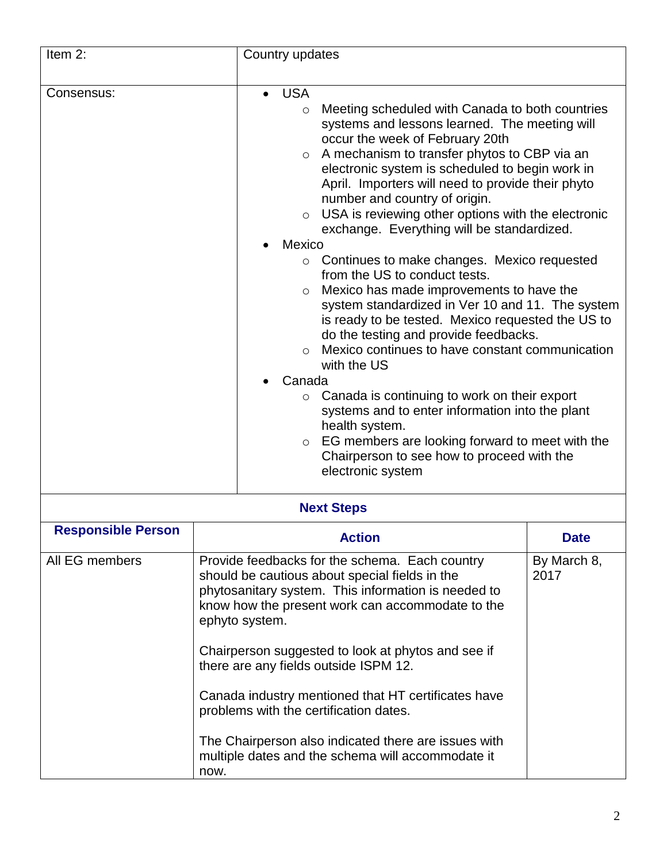| Item 2:                   | Country updates                                                                                                                                                                                                                                                                                                                                                                                                                                                                                                                                                                                                                                                                                                                                                                                                                                                                                                                                                                                                                                                                                                                                    |             |
|---------------------------|----------------------------------------------------------------------------------------------------------------------------------------------------------------------------------------------------------------------------------------------------------------------------------------------------------------------------------------------------------------------------------------------------------------------------------------------------------------------------------------------------------------------------------------------------------------------------------------------------------------------------------------------------------------------------------------------------------------------------------------------------------------------------------------------------------------------------------------------------------------------------------------------------------------------------------------------------------------------------------------------------------------------------------------------------------------------------------------------------------------------------------------------------|-------------|
| Consensus:                | <b>USA</b><br>Meeting scheduled with Canada to both countries<br>$\circ$<br>systems and lessons learned. The meeting will<br>occur the week of February 20th<br>A mechanism to transfer phytos to CBP via an<br>$\circ$<br>electronic system is scheduled to begin work in<br>April. Importers will need to provide their phyto<br>number and country of origin.<br>USA is reviewing other options with the electronic<br>$\circ$<br>exchange. Everything will be standardized.<br>Mexico<br>Continues to make changes. Mexico requested<br>$\circ$<br>from the US to conduct tests.<br>Mexico has made improvements to have the<br>$\circ$<br>system standardized in Ver 10 and 11. The system<br>is ready to be tested. Mexico requested the US to<br>do the testing and provide feedbacks.<br>Mexico continues to have constant communication<br>$\circ$<br>with the US<br>Canada<br>$\circ$ Canada is continuing to work on their export<br>systems and to enter information into the plant<br>health system.<br>EG members are looking forward to meet with the<br>$\circ$<br>Chairperson to see how to proceed with the<br>electronic system |             |
| <b>Next Steps</b>         |                                                                                                                                                                                                                                                                                                                                                                                                                                                                                                                                                                                                                                                                                                                                                                                                                                                                                                                                                                                                                                                                                                                                                    |             |
| <b>Responsible Person</b> | <b>Action</b>                                                                                                                                                                                                                                                                                                                                                                                                                                                                                                                                                                                                                                                                                                                                                                                                                                                                                                                                                                                                                                                                                                                                      | <b>Date</b> |
| All EG members            | Provide feedbacks for the schema. Each country<br>By March 8,<br>should be cautious about special fields in the<br>2017<br>phytosanitary system. This information is needed to<br>know how the present work can accommodate to the<br>ephyto system.<br>Chairperson suggested to look at phytos and see if<br>there are any fields outside ISPM 12.<br>Canada industry mentioned that HT certificates have<br>problems with the certification dates.<br>The Chairperson also indicated there are issues with<br>multiple dates and the schema will accommodate it<br>now.                                                                                                                                                                                                                                                                                                                                                                                                                                                                                                                                                                          |             |